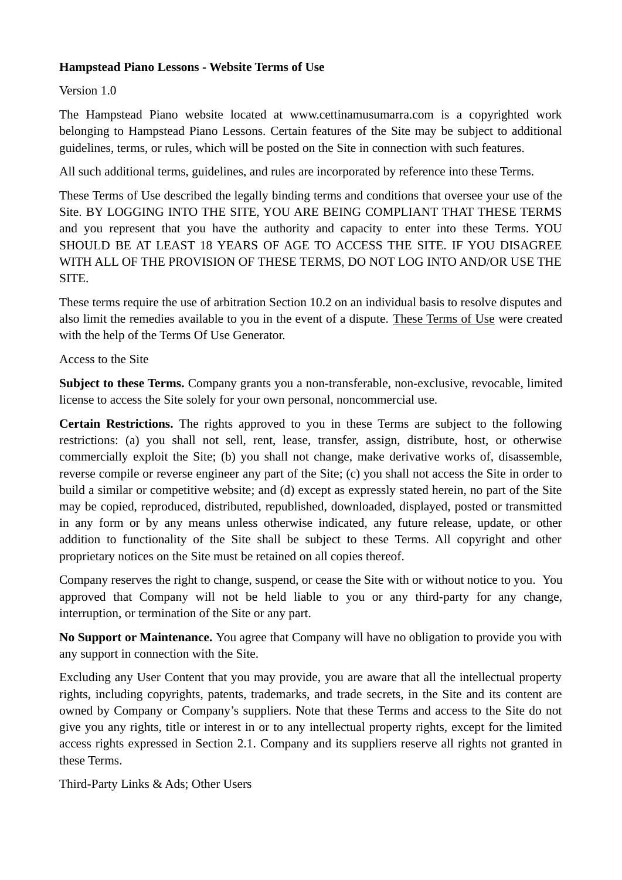## **Hampstead Piano Lessons - Website Terms of Use**

# Version 1.0

The Hampstead Piano website located at www.cettinamusumarra.com is a copyrighted work belonging to Hampstead Piano Lessons. Certain features of the Site may be subject to additional guidelines, terms, or rules, which will be posted on the Site in connection with such features.

All such additional terms, guidelines, and rules are incorporated by reference into these Terms.

These Terms of Use described the legally binding terms and conditions that oversee your use of the Site. BY LOGGING INTO THE SITE, YOU ARE BEING COMPLIANT THAT THESE TERMS and you represent that you have the authority and capacity to enter into these Terms. YOU SHOULD BE AT LEAST 18 YEARS OF AGE TO ACCESS THE SITE. IF YOU DISAGREE WITH ALL OF THE PROVISION OF THESE TERMS, DO NOT LOG INTO AND/OR USE THE SITE.

These terms require the use of arbitration Section 10.2 on an individual basis to resolve disputes and also limit the remedies available to you in the event of a dispute. [These Terms of Use](https://termsofusegenerator.net/) were created with the help of the Terms Of Use Generator.

# Access to the Site

**Subject to these Terms.** Company grants you a non-transferable, non-exclusive, revocable, limited license to access the Site solely for your own personal, noncommercial use.

**Certain Restrictions.** The rights approved to you in these Terms are subject to the following restrictions: (a) you shall not sell, rent, lease, transfer, assign, distribute, host, or otherwise commercially exploit the Site; (b) you shall not change, make derivative works of, disassemble, reverse compile or reverse engineer any part of the Site; (c) you shall not access the Site in order to build a similar or competitive website; and (d) except as expressly stated herein, no part of the Site may be copied, reproduced, distributed, republished, downloaded, displayed, posted or transmitted in any form or by any means unless otherwise indicated, any future release, update, or other addition to functionality of the Site shall be subject to these Terms. All copyright and other proprietary notices on the Site must be retained on all copies thereof.

Company reserves the right to change, suspend, or cease the Site with or without notice to you. You approved that Company will not be held liable to you or any third-party for any change, interruption, or termination of the Site or any part.

**No Support or Maintenance.** You agree that Company will have no obligation to provide you with any support in connection with the Site.

Excluding any User Content that you may provide, you are aware that all the intellectual property rights, including copyrights, patents, trademarks, and trade secrets, in the Site and its content are owned by Company or Company's suppliers. Note that these Terms and access to the Site do not give you any rights, title or interest in or to any intellectual property rights, except for the limited access rights expressed in Section 2.1. Company and its suppliers reserve all rights not granted in these Terms.

Third-Party Links & Ads; Other Users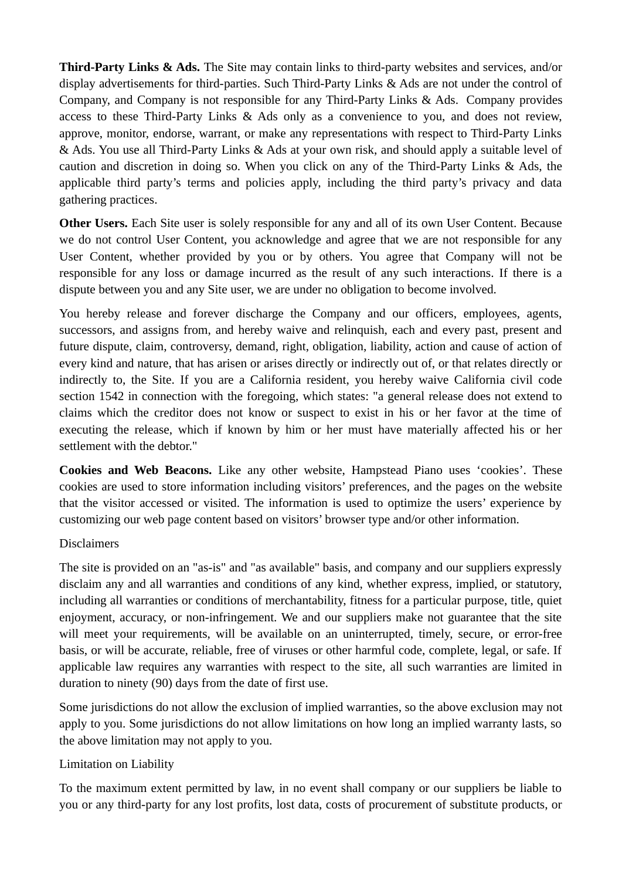**Third-Party Links & Ads.** The Site may contain links to third-party websites and services, and/or display advertisements for third-parties. Such Third-Party Links & Ads are not under the control of Company, and Company is not responsible for any Third-Party Links & Ads. Company provides access to these Third-Party Links & Ads only as a convenience to you, and does not review, approve, monitor, endorse, warrant, or make any representations with respect to Third-Party Links & Ads. You use all Third-Party Links & Ads at your own risk, and should apply a suitable level of caution and discretion in doing so. When you click on any of the Third-Party Links & Ads, the applicable third party's terms and policies apply, including the third party's privacy and data gathering practices.

**Other Users.** Each Site user is solely responsible for any and all of its own User Content. Because we do not control User Content, you acknowledge and agree that we are not responsible for any User Content, whether provided by you or by others. You agree that Company will not be responsible for any loss or damage incurred as the result of any such interactions. If there is a dispute between you and any Site user, we are under no obligation to become involved.

You hereby release and forever discharge the Company and our officers, employees, agents, successors, and assigns from, and hereby waive and relinquish, each and every past, present and future dispute, claim, controversy, demand, right, obligation, liability, action and cause of action of every kind and nature, that has arisen or arises directly or indirectly out of, or that relates directly or indirectly to, the Site. If you are a California resident, you hereby waive California civil code section 1542 in connection with the foregoing, which states: "a general release does not extend to claims which the creditor does not know or suspect to exist in his or her favor at the time of executing the release, which if known by him or her must have materially affected his or her settlement with the debtor."

**Cookies and Web Beacons.** Like any other website, Hampstead Piano uses 'cookies'. These cookies are used to store information including visitors' preferences, and the pages on the website that the visitor accessed or visited. The information is used to optimize the users' experience by customizing our web page content based on visitors' browser type and/or other information.

## Disclaimers

The site is provided on an "as-is" and "as available" basis, and company and our suppliers expressly disclaim any and all warranties and conditions of any kind, whether express, implied, or statutory, including all warranties or conditions of merchantability, fitness for a particular purpose, title, quiet enjoyment, accuracy, or non-infringement. We and our suppliers make not guarantee that the site will meet your requirements, will be available on an uninterrupted, timely, secure, or error-free basis, or will be accurate, reliable, free of viruses or other harmful code, complete, legal, or safe. If applicable law requires any warranties with respect to the site, all such warranties are limited in duration to ninety (90) days from the date of first use.

Some jurisdictions do not allow the exclusion of implied warranties, so the above exclusion may not apply to you. Some jurisdictions do not allow limitations on how long an implied warranty lasts, so the above limitation may not apply to you.

## Limitation on Liability

To the maximum extent permitted by law, in no event shall company or our suppliers be liable to you or any third-party for any lost profits, lost data, costs of procurement of substitute products, or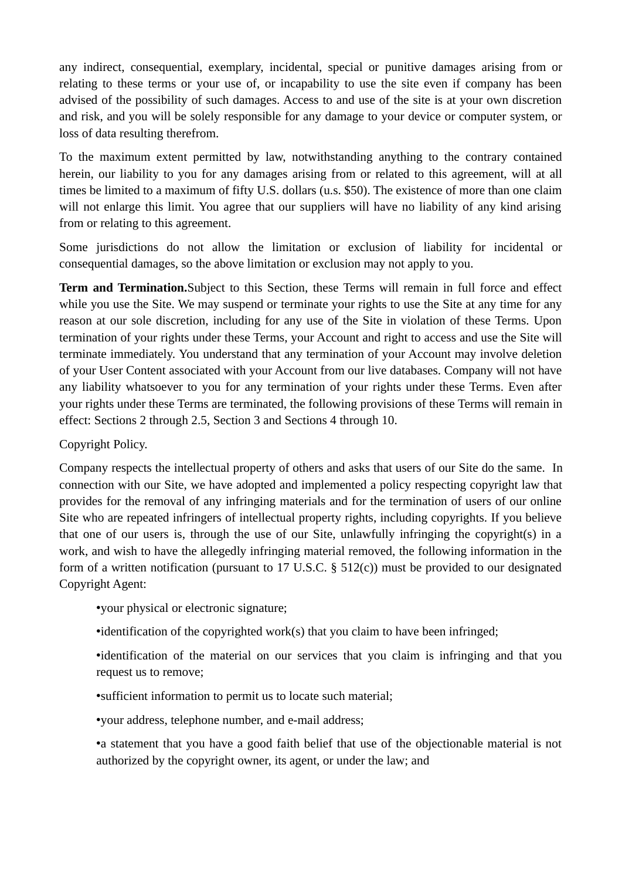any indirect, consequential, exemplary, incidental, special or punitive damages arising from or relating to these terms or your use of, or incapability to use the site even if company has been advised of the possibility of such damages. Access to and use of the site is at your own discretion and risk, and you will be solely responsible for any damage to your device or computer system, or loss of data resulting therefrom.

To the maximum extent permitted by law, notwithstanding anything to the contrary contained herein, our liability to you for any damages arising from or related to this agreement, will at all times be limited to a maximum of fifty U.S. dollars (u.s. \$50). The existence of more than one claim will not enlarge this limit. You agree that our suppliers will have no liability of any kind arising from or relating to this agreement.

Some jurisdictions do not allow the limitation or exclusion of liability for incidental or consequential damages, so the above limitation or exclusion may not apply to you.

**Term and Termination.**Subject to this Section, these Terms will remain in full force and effect while you use the Site. We may suspend or terminate your rights to use the Site at any time for any reason at our sole discretion, including for any use of the Site in violation of these Terms. Upon termination of your rights under these Terms, your Account and right to access and use the Site will terminate immediately. You understand that any termination of your Account may involve deletion of your User Content associated with your Account from our live databases. Company will not have any liability whatsoever to you for any termination of your rights under these Terms. Even after your rights under these Terms are terminated, the following provisions of these Terms will remain in effect: Sections 2 through 2.5, Section 3 and Sections 4 through 10.

Copyright Policy.

Company respects the intellectual property of others and asks that users of our Site do the same. In connection with our Site, we have adopted and implemented a policy respecting copyright law that provides for the removal of any infringing materials and for the termination of users of our online Site who are repeated infringers of intellectual property rights, including copyrights. If you believe that one of our users is, through the use of our Site, unlawfully infringing the copyright(s) in a work, and wish to have the allegedly infringing material removed, the following information in the form of a written notification (pursuant to 17 U.S.C. § 512(c)) must be provided to our designated Copyright Agent:

•your physical or electronic signature;

•identification of the copyrighted work(s) that you claim to have been infringed;

•identification of the material on our services that you claim is infringing and that you request us to remove;

•sufficient information to permit us to locate such material;

•your address, telephone number, and e-mail address;

•a statement that you have a good faith belief that use of the objectionable material is not authorized by the copyright owner, its agent, or under the law; and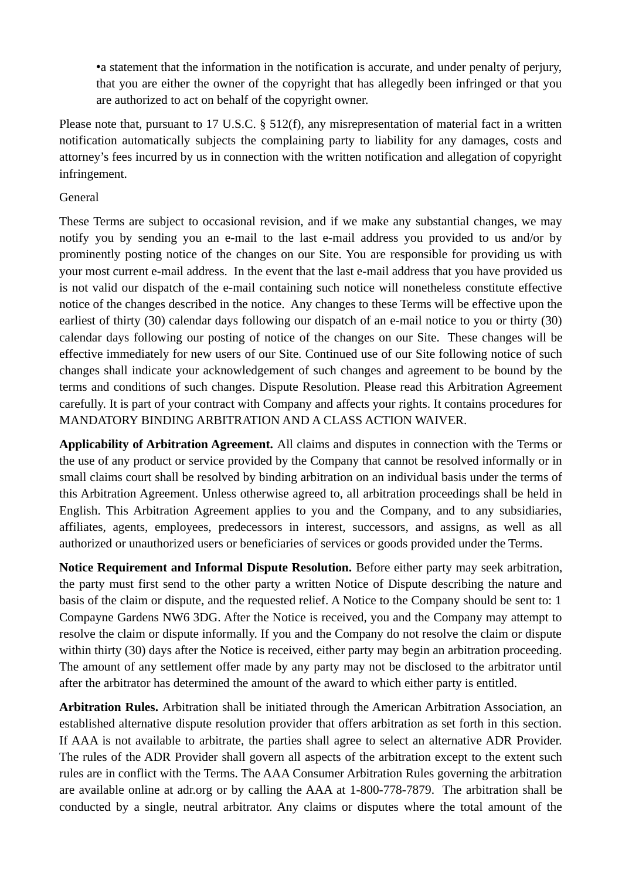•a statement that the information in the notification is accurate, and under penalty of perjury, that you are either the owner of the copyright that has allegedly been infringed or that you are authorized to act on behalf of the copyright owner.

Please note that, pursuant to 17 U.S.C. § 512(f), any misrepresentation of material fact in a written notification automatically subjects the complaining party to liability for any damages, costs and attorney's fees incurred by us in connection with the written notification and allegation of copyright infringement.

## General

These Terms are subject to occasional revision, and if we make any substantial changes, we may notify you by sending you an e-mail to the last e-mail address you provided to us and/or by prominently posting notice of the changes on our Site. You are responsible for providing us with your most current e-mail address. In the event that the last e-mail address that you have provided us is not valid our dispatch of the e-mail containing such notice will nonetheless constitute effective notice of the changes described in the notice. Any changes to these Terms will be effective upon the earliest of thirty (30) calendar days following our dispatch of an e-mail notice to you or thirty (30) calendar days following our posting of notice of the changes on our Site. These changes will be effective immediately for new users of our Site. Continued use of our Site following notice of such changes shall indicate your acknowledgement of such changes and agreement to be bound by the terms and conditions of such changes. Dispute Resolution. Please read this Arbitration Agreement carefully. It is part of your contract with Company and affects your rights. It contains procedures for MANDATORY BINDING ARBITRATION AND A CLASS ACTION WAIVER.

**Applicability of Arbitration Agreement.** All claims and disputes in connection with the Terms or the use of any product or service provided by the Company that cannot be resolved informally or in small claims court shall be resolved by binding arbitration on an individual basis under the terms of this Arbitration Agreement. Unless otherwise agreed to, all arbitration proceedings shall be held in English. This Arbitration Agreement applies to you and the Company, and to any subsidiaries, affiliates, agents, employees, predecessors in interest, successors, and assigns, as well as all authorized or unauthorized users or beneficiaries of services or goods provided under the Terms.

**Notice Requirement and Informal Dispute Resolution.** Before either party may seek arbitration, the party must first send to the other party a written Notice of Dispute describing the nature and basis of the claim or dispute, and the requested relief. A Notice to the Company should be sent to: 1 Compayne Gardens NW6 3DG. After the Notice is received, you and the Company may attempt to resolve the claim or dispute informally. If you and the Company do not resolve the claim or dispute within thirty (30) days after the Notice is received, either party may begin an arbitration proceeding. The amount of any settlement offer made by any party may not be disclosed to the arbitrator until after the arbitrator has determined the amount of the award to which either party is entitled.

**Arbitration Rules.** Arbitration shall be initiated through the American Arbitration Association, an established alternative dispute resolution provider that offers arbitration as set forth in this section. If AAA is not available to arbitrate, the parties shall agree to select an alternative ADR Provider. The rules of the ADR Provider shall govern all aspects of the arbitration except to the extent such rules are in conflict with the Terms. The AAA Consumer Arbitration Rules governing the arbitration are available online at adr.org or by calling the AAA at 1-800-778-7879. The arbitration shall be conducted by a single, neutral arbitrator. Any claims or disputes where the total amount of the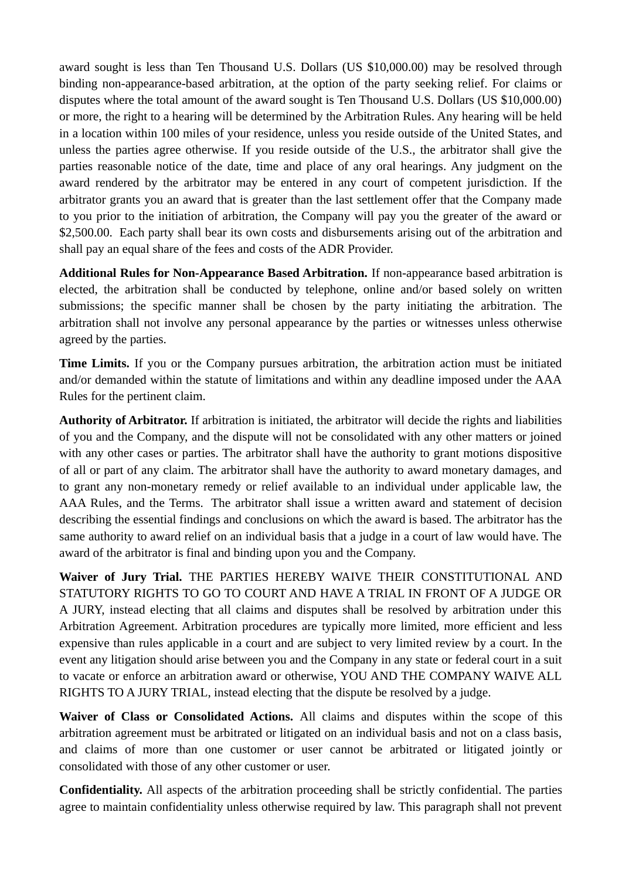award sought is less than Ten Thousand U.S. Dollars (US \$10,000.00) may be resolved through binding non-appearance-based arbitration, at the option of the party seeking relief. For claims or disputes where the total amount of the award sought is Ten Thousand U.S. Dollars (US \$10,000.00) or more, the right to a hearing will be determined by the Arbitration Rules. Any hearing will be held in a location within 100 miles of your residence, unless you reside outside of the United States, and unless the parties agree otherwise. If you reside outside of the U.S., the arbitrator shall give the parties reasonable notice of the date, time and place of any oral hearings. Any judgment on the award rendered by the arbitrator may be entered in any court of competent jurisdiction. If the arbitrator grants you an award that is greater than the last settlement offer that the Company made to you prior to the initiation of arbitration, the Company will pay you the greater of the award or \$2,500.00. Each party shall bear its own costs and disbursements arising out of the arbitration and shall pay an equal share of the fees and costs of the ADR Provider.

**Additional Rules for Non-Appearance Based Arbitration.** If non-appearance based arbitration is elected, the arbitration shall be conducted by telephone, online and/or based solely on written submissions; the specific manner shall be chosen by the party initiating the arbitration. The arbitration shall not involve any personal appearance by the parties or witnesses unless otherwise agreed by the parties.

**Time Limits.** If you or the Company pursues arbitration, the arbitration action must be initiated and/or demanded within the statute of limitations and within any deadline imposed under the AAA Rules for the pertinent claim.

**Authority of Arbitrator.** If arbitration is initiated, the arbitrator will decide the rights and liabilities of you and the Company, and the dispute will not be consolidated with any other matters or joined with any other cases or parties. The arbitrator shall have the authority to grant motions dispositive of all or part of any claim. The arbitrator shall have the authority to award monetary damages, and to grant any non-monetary remedy or relief available to an individual under applicable law, the AAA Rules, and the Terms. The arbitrator shall issue a written award and statement of decision describing the essential findings and conclusions on which the award is based. The arbitrator has the same authority to award relief on an individual basis that a judge in a court of law would have. The award of the arbitrator is final and binding upon you and the Company.

**Waiver of Jury Trial.** THE PARTIES HEREBY WAIVE THEIR CONSTITUTIONAL AND STATUTORY RIGHTS TO GO TO COURT AND HAVE A TRIAL IN FRONT OF A JUDGE OR A JURY, instead electing that all claims and disputes shall be resolved by arbitration under this Arbitration Agreement. Arbitration procedures are typically more limited, more efficient and less expensive than rules applicable in a court and are subject to very limited review by a court. In the event any litigation should arise between you and the Company in any state or federal court in a suit to vacate or enforce an arbitration award or otherwise, YOU AND THE COMPANY WAIVE ALL RIGHTS TO A JURY TRIAL, instead electing that the dispute be resolved by a judge.

**Waiver of Class or Consolidated Actions.** All claims and disputes within the scope of this arbitration agreement must be arbitrated or litigated on an individual basis and not on a class basis, and claims of more than one customer or user cannot be arbitrated or litigated jointly or consolidated with those of any other customer or user.

**Confidentiality.** All aspects of the arbitration proceeding shall be strictly confidential. The parties agree to maintain confidentiality unless otherwise required by law. This paragraph shall not prevent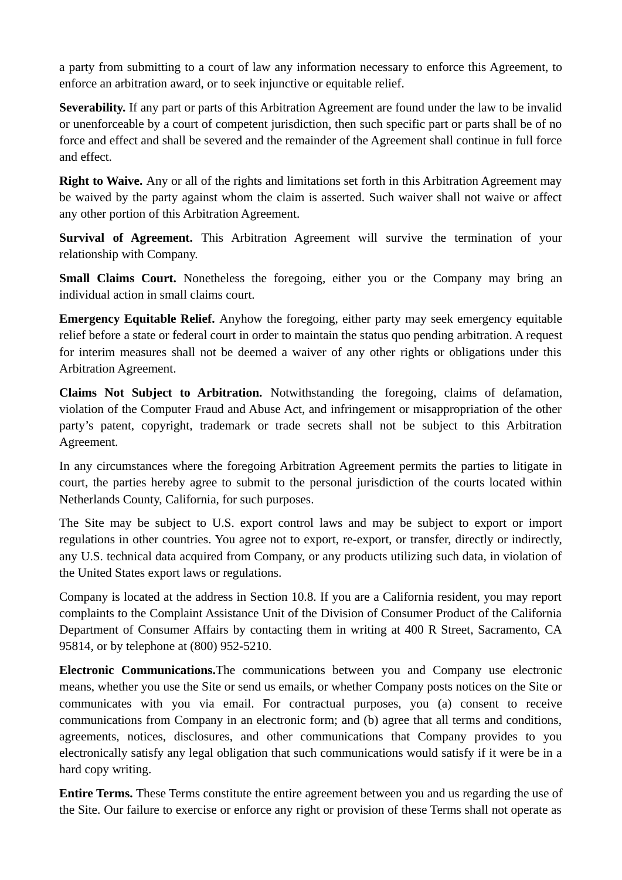a party from submitting to a court of law any information necessary to enforce this Agreement, to enforce an arbitration award, or to seek injunctive or equitable relief.

**Severability.** If any part or parts of this Arbitration Agreement are found under the law to be invalid or unenforceable by a court of competent jurisdiction, then such specific part or parts shall be of no force and effect and shall be severed and the remainder of the Agreement shall continue in full force and effect.

**Right to Waive.** Any or all of the rights and limitations set forth in this Arbitration Agreement may be waived by the party against whom the claim is asserted. Such waiver shall not waive or affect any other portion of this Arbitration Agreement.

**Survival of Agreement.** This Arbitration Agreement will survive the termination of your relationship with Company.

Small Claims Court. Nonetheless the foregoing, either you or the Company may bring an individual action in small claims court.

**Emergency Equitable Relief.** Anyhow the foregoing, either party may seek emergency equitable relief before a state or federal court in order to maintain the status quo pending arbitration. A request for interim measures shall not be deemed a waiver of any other rights or obligations under this Arbitration Agreement.

**Claims Not Subject to Arbitration.** Notwithstanding the foregoing, claims of defamation, violation of the Computer Fraud and Abuse Act, and infringement or misappropriation of the other party's patent, copyright, trademark or trade secrets shall not be subject to this Arbitration Agreement.

In any circumstances where the foregoing Arbitration Agreement permits the parties to litigate in court, the parties hereby agree to submit to the personal jurisdiction of the courts located within Netherlands County, California, for such purposes.

The Site may be subject to U.S. export control laws and may be subject to export or import regulations in other countries. You agree not to export, re-export, or transfer, directly or indirectly, any U.S. technical data acquired from Company, or any products utilizing such data, in violation of the United States export laws or regulations.

Company is located at the address in Section 10.8. If you are a California resident, you may report complaints to the Complaint Assistance Unit of the Division of Consumer Product of the California Department of Consumer Affairs by contacting them in writing at 400 R Street, Sacramento, CA 95814, or by telephone at (800) 952-5210.

**Electronic Communications.**The communications between you and Company use electronic means, whether you use the Site or send us emails, or whether Company posts notices on the Site or communicates with you via email. For contractual purposes, you (a) consent to receive communications from Company in an electronic form; and (b) agree that all terms and conditions, agreements, notices, disclosures, and other communications that Company provides to you electronically satisfy any legal obligation that such communications would satisfy if it were be in a hard copy writing.

**Entire Terms.** These Terms constitute the entire agreement between you and us regarding the use of the Site. Our failure to exercise or enforce any right or provision of these Terms shall not operate as